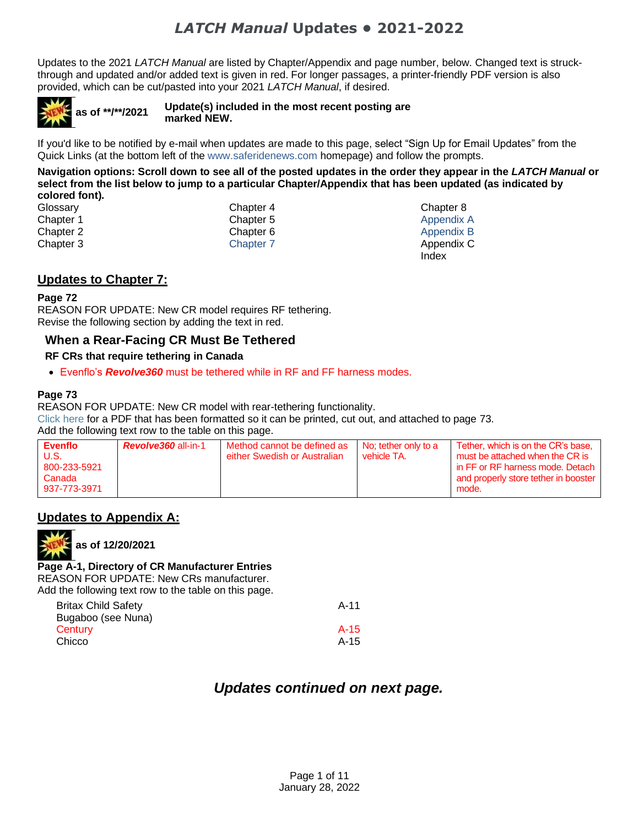Updates to the 2021 *LATCH Manual* are listed by Chapter/Appendix and page number, below. Changed text is struckthrough and updated and/or added text is given in red. For longer passages, a printer-friendly PDF version is also provided, which can be cut/pasted into your 2021 *LATCH Manual*, if desired.



If you'd like to be notified by e-mail when updates are made to this page, select "Sign Up for Email Updates" from the Quick Links (at the bottom left of the [www.saferidenews.com](http://www.saferidenews.com/) homepage) and follow the prompts.

**Navigation options: Scroll down to see all of the posted updates in the order they appear in the** *LATCH Manual* **or select from the list below to jump to a particular Chapter/Appendix that has been updated (as indicated by colored font).**

| Glossary  | Chapter 4        | Chapter 8  |
|-----------|------------------|------------|
| Chapter 1 | Chapter 5        | Appendix A |
| Chapter 2 | Chapter 6        | Appendix B |
| Chapter 3 | <b>Chapter 7</b> | Appendix C |
|           |                  | Index      |

#### <span id="page-0-0"></span>**Updates to Chapter 7:**

#### **Page 72**

REASON FOR UPDATE: New CR model requires RF tethering. Revise the following section by adding the text in red.

#### **When a Rear-Facing CR Must Be Tethered**

#### **RF CRs that require tethering in Canada**

• Evenflo's *Revolve360* must be tethered while in RF and FF harness modes.

#### **Page 73**

REASON FOR UPDATE: New CR model with rear-tethering functionality. [Click here](https://www.saferidenews.com/wp-content/uploads/2021/05/PDF-Option-Chapter-7.pdf) for a PDF that has been formatted so it can be printed, cut out, and attached to page 73. Add the following text row to the table on this page.

| <b>Evenflo</b><br>U.S.<br>800-233-5921 | <b>Revolve360</b> all-in-1 | Method cannot be defined as<br>either Swedish or Australian | No: tether only to a<br>vehicle TA. | Tether, which is on the CR's base.<br>must be attached when the CR is<br>in FF or RF harness mode. Detach |
|----------------------------------------|----------------------------|-------------------------------------------------------------|-------------------------------------|-----------------------------------------------------------------------------------------------------------|
| Canada                                 |                            |                                                             |                                     | and properly store tether in booster                                                                      |
| 937-773-3971                           |                            |                                                             |                                     | mode.                                                                                                     |

#### <span id="page-0-1"></span>**Updates to Appendix A:**



**as of 12/20/2021**

**Page A-1, Directory of CR Manufacturer Entries** REASON FOR UPDATE: New CRs manufacturer. Add the following text row to the table on this page.

| <b>Britax Child Safety</b> | $A-11$ |
|----------------------------|--------|
| Bugaboo (see Nuna)         |        |
| Century                    | $A-15$ |
| Chicco                     | $A-15$ |
|                            |        |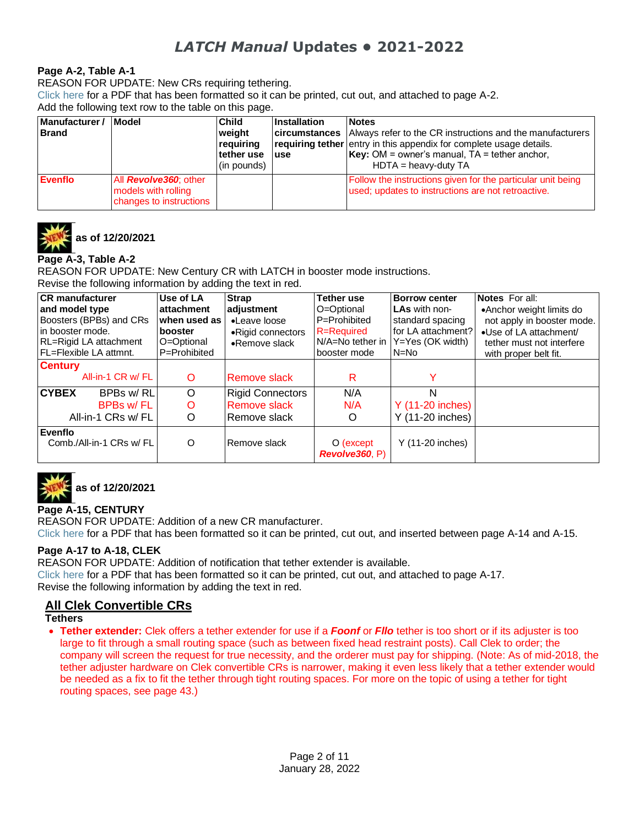#### **Page A-2, Table A-1**

REASON FOR UPDATE: New CRs requiring tethering.

[Click here](https://www.saferidenews.com/wp-content/uploads/2021/05/PDF-Option-Appendix-A-QRL.pdf) for a PDF that has been formatted so it can be printed, cut out, and attached to page A-2. Add the following text row to the table on this page.

| Manufacturer /<br><b>Brand</b> | <b>Model</b>                                                                    | <b>Child</b><br>weight<br>requiring<br>tether use<br>(in pounds) | Installation<br>luse | <b>Notes</b><br><b>circumstances</b> Always refer to the CR instructions and the manufacturers<br>requiring tether entry in this appendix for complete usage details.<br><b>Key:</b> OM = owner's manual, $TA$ = tether anchor,<br>$HDTA =$ heavy-duty TA |
|--------------------------------|---------------------------------------------------------------------------------|------------------------------------------------------------------|----------------------|-----------------------------------------------------------------------------------------------------------------------------------------------------------------------------------------------------------------------------------------------------------|
| Evenflo                        | All <i>Revolve360</i> ; other<br>models with rolling<br>changes to instructions |                                                                  |                      | Follow the instructions given for the particular unit being<br>used; updates to instructions are not retroactive.                                                                                                                                         |



**as of 12/20/2021**

#### **Page A-3, Table A-2**

REASON FOR UPDATE: New Century CR with LATCH in booster mode instructions.

Revise the following information by adding the text in red.

| <b>CR</b> manufacturer<br>and model type<br>Boosters (BPBs) and CRs<br>lin booster mode.<br>RL=Rigid LA attachment<br><b>FL=Flexible LA attmnt.</b> | Use of LA<br>attachment<br>when used as<br>booster<br>O=Optional<br>P=Prohibited | <b>Strap</b><br>adjustment<br>•Leave loose<br>•Rigid connectors<br>•Remove slack | Tether use<br>O=Optional<br>P=Prohibited<br><b>R</b> =Required<br>N/A=No tether in<br>booster mode | <b>Borrow center</b><br>LAs with non-<br>standard spacing<br>for LA attachment?<br>Y=Yes (OK width)<br>$N=N0$ | <b>Notes</b> For all:<br>•Anchor weight limits do<br>not apply in booster mode.<br>•Use of LA attachment/<br>tether must not interfere<br>with proper belt fit. |
|-----------------------------------------------------------------------------------------------------------------------------------------------------|----------------------------------------------------------------------------------|----------------------------------------------------------------------------------|----------------------------------------------------------------------------------------------------|---------------------------------------------------------------------------------------------------------------|-----------------------------------------------------------------------------------------------------------------------------------------------------------------|
| <b>Century</b><br>All-in-1 CR w/ FL                                                                                                                 | $\circ$                                                                          | <b>Remove slack</b>                                                              | R                                                                                                  |                                                                                                               |                                                                                                                                                                 |
| <b>CYBEX</b><br>BPBs w/RL<br>BPBs w/FL<br>All-in-1 CRs w/ FL                                                                                        | $\circ$<br>O<br>O                                                                | <b>Rigid Connectors</b><br><b>Remove slack</b><br>l Remove slack                 | N/A<br>N/A<br>O                                                                                    | N<br>Y (11-20 inches)<br>Y (11-20 inches)                                                                     |                                                                                                                                                                 |
| Evenflo<br>Comb./All-in-1 CRs w/ FL                                                                                                                 | O                                                                                | Remove slack                                                                     | $O$ (except<br>Revolve360, P)                                                                      | Y (11-20 inches)                                                                                              |                                                                                                                                                                 |



**as of 12/20/2021**

#### **Page A-15, CENTURY**

REASON FOR UPDATE: Addition of a new CR manufacturer. [Click here](https://www.saferidenews.com/wp-content/uploads/2022/01/PDF-Option-Century.pdf) for a PDF that has been formatted so it can be printed, cut out, and inserted between page A-14 and A-15.

#### **Page A-17 to A-18, CLEK**

REASON FOR UPDATE: Addition of notification that tether extender is available. [Click here](https://www.saferidenews.com/wp-content/uploads/2021/05/PDF-Option-Clek.pdf) for a PDF that has been formatted so it can be printed, cut out, and attached to page A-17. Revise the following information by adding the text in red.

### **All Clek Convertible CRs**

- **Tethers**
- **Tether extender:** Clek offers a tether extender for use if a *Foonf* or *Fllo* tether is too short or if its adjuster is too large to fit through a small routing space (such as between fixed head restraint posts). Call Clek to order; the company will screen the request for true necessity, and the orderer must pay for shipping. (Note: As of mid-2018, the tether adjuster hardware on Clek convertible CRs is narrower, making it even less likely that a tether extender would be needed as a fix to fit the tether through tight routing spaces. For more on the topic of using a tether for tight routing spaces, see page 43.)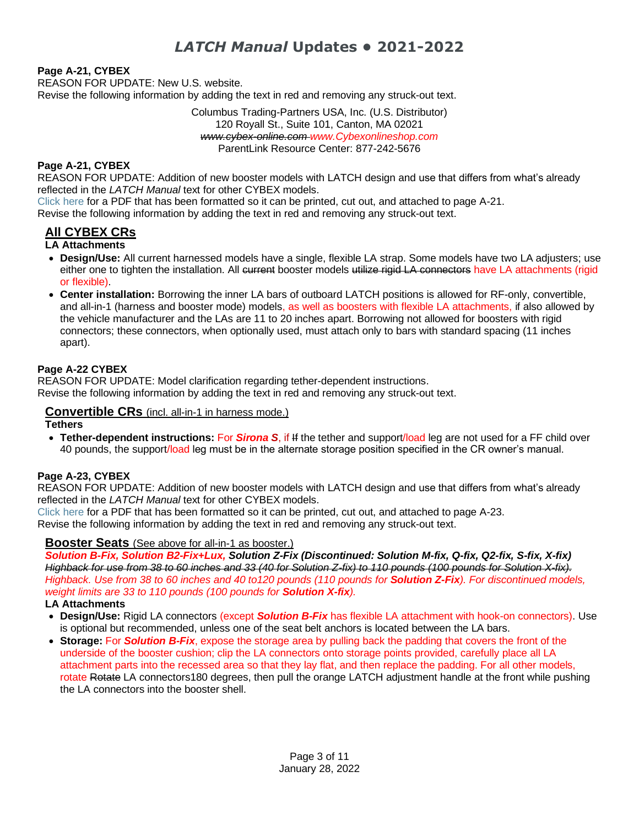#### **Page A-21, CYBEX**

REASON FOR UPDATE: New U.S. website. Revise the following information by adding the text in red and removing any struck-out text.

> Columbus Trading-Partners USA, Inc. (U.S. Distributor) 120 Royall St., Suite 101, Canton, MA 02021 *www.cybex-online.com www.Cybexonlineshop.com* ParentLink Resource Center: 877-242-5676

#### **Page A-21, CYBEX**

REASON FOR UPDATE: Addition of new booster models with LATCH design and use that differs from what's already reflected in the *LATCH Manual* text for other CYBEX models.

[Click here](https://www.saferidenews.com/wp-content/uploads/2021/05/PDF-Option-Cybex.pdf) for a PDF that has been formatted so it can be printed, cut out, and attached to page A-21.

Revise the following information by adding the text in red and removing any struck-out text.

#### **All CYBEX CRs**

#### **LA Attachments**

- **Design/Use:** All current harnessed models have a single, flexible LA strap. Some models have two LA adjusters; use either one to tighten the installation. All current booster models utilize rigid LA connectors have LA attachments (rigid or flexible).
- **Center installation:** Borrowing the inner LA bars of outboard LATCH positions is allowed for RF-only, convertible, and all-in-1 (harness and booster mode) models, as well as boosters with flexible LA attachments, if also allowed by the vehicle manufacturer and the LAs are 11 to 20 inches apart. Borrowing not allowed for boosters with rigid connectors; these connectors, when optionally used, must attach only to bars with standard spacing (11 inches apart).

#### **Page A-22 CYBEX**

REASON FOR UPDATE: Model clarification regarding tether-dependent instructions. Revise the following information by adding the text in red and removing any struck-out text.

#### **Convertible CRs** (incl. all-in-1 in harness mode.)

#### **Tethers**

• **Tether-dependent instructions:** For *Sirona S*, if If the tether and support/load leg are not used for a FF child over 40 pounds, the support/load leg must be in the alternate storage position specified in the CR owner's manual.

#### **Page A-23, CYBEX**

REASON FOR UPDATE: Addition of new booster models with LATCH design and use that differs from what's already reflected in the *LATCH Manual* text for other CYBEX models.

[Click here](https://www.saferidenews.com/wp-content/uploads/2021/05/PDF-Option-Cybex.pdf) for a PDF that has been formatted so it can be printed, cut out, and attached to page A-23.

Revise the following information by adding the text in red and removing any struck-out text.

#### **Booster Seats** (See above for all-in-1 as booster.)

*Solution B-Fix, Solution B2-Fix+Lux, Solution Z-Fix (Discontinued: Solution M-fix, Q-fix, Q2-fix, S-fix, X-fix) Highback for use from 38 to 60 inches and 33 (40 for Solution Z-fix) to 110 pounds (100 pounds for Solution X-fix). Highback. Use from 38 to 60 inches and 40 to120 pounds (110 pounds for Solution Z-Fix). For discontinued models, weight limits are 33 to 110 pounds (100 pounds for Solution X-fix).*

#### **LA Attachments**

- **Design/Use:** Rigid LA connectors (except *Solution B-Fix* has flexible LA attachment with hook-on connectors). Use is optional but recommended, unless one of the seat belt anchors is located between the LA bars.
- **Storage:** For *Solution B-Fix*, expose the storage area by pulling back the padding that covers the front of the underside of the booster cushion; clip the LA connectors onto storage points provided, carefully place all LA attachment parts into the recessed area so that they lay flat, and then replace the padding. For all other models, rotate Rotate LA connectors180 degrees, then pull the orange LATCH adjustment handle at the front while pushing the LA connectors into the booster shell.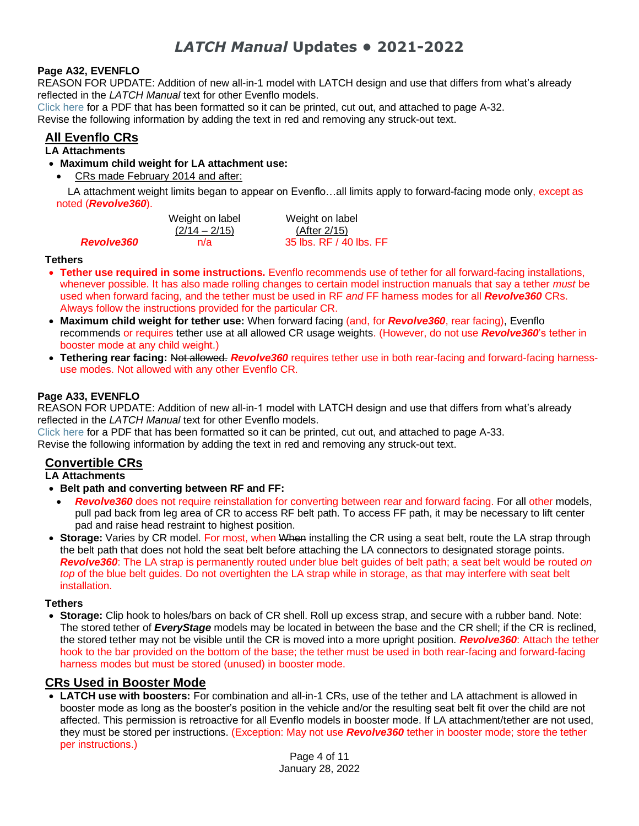#### **Page A32, EVENFLO**

REASON FOR UPDATE: Addition of new all-in-1 model with LATCH design and use that differs from what's already reflected in the *LATCH Manual* text for other Evenflo models.

[Click here](https://www.saferidenews.com/wp-content/uploads/2021/05/PDF-Option-for-Evenflo.pdf) for a PDF that has been formatted so it can be printed, cut out, and attached to page A-32. Revise the following information by adding the text in red and removing any struck-out text.

#### **All Evenflo CRs**

 $Revolve360$ 

#### **LA Attachments**

- **Maximum child weight for LA attachment use:**
	- CRs made February 2014 and after:

LA attachment weight limits began to appear on Evenflo…all limits apply to forward-facing mode only, except as noted (*Revolve360*).

| Weight on label | Weight on label         |
|-----------------|-------------------------|
| $(2/14 - 2/15)$ | (After 2/15)            |
| n/a             | 35 lbs. RF / 40 lbs. FF |

#### **Tethers**

- **Tether use required in some instructions.** Evenflo recommends use of tether for all forward-facing installations, whenever possible. It has also made rolling changes to certain model instruction manuals that say a tether *must* be used when forward facing, and the tether must be used in RF *and* FF harness modes for all *Revolve360* CRs. Always follow the instructions provided for the particular CR.
- **Maximum child weight for tether use:** When forward facing (and, for *Revolve360*, rear facing), Evenflo recommends or requires tether use at all allowed CR usage weights. (However, do not use *Revolve360*'s tether in booster mode at any child weight.)
- **Tethering rear facing:** Not allowed. *Revolve360* requires tether use in both rear-facing and forward-facing harnessuse modes. Not allowed with any other Evenflo CR.

#### **Page A33, EVENFLO**

REASON FOR UPDATE: Addition of new all-in-1 model with LATCH design and use that differs from what's already reflected in the *LATCH Manual* text for other Evenflo models.

[Click here](https://www.saferidenews.com/wp-content/uploads/2021/05/PDF-Option-for-Evenflo.pdf) for a PDF that has been formatted so it can be printed, cut out, and attached to page A-33. Revise the following information by adding the text in red and removing any struck-out text.

#### **Convertible CRs**

**LA Attachments**

- **Belt path and converting between RF and FF:**
- *Revolve360* does not require reinstallation for converting between rear and forward facing. For all other models, pull pad back from leg area of CR to access RF belt path. To access FF path, it may be necessary to lift center pad and raise head restraint to highest position.
- **Storage:** Varies by CR model. For most, when When installing the CR using a seat belt, route the LA strap through the belt path that does not hold the seat belt before attaching the LA connectors to designated storage points. *Revolve360*: The LA strap is permanently routed under blue belt guides of belt path; a seat belt would be routed *on top* of the blue belt guides. Do not overtighten the LA strap while in storage, as that may interfere with seat belt installation.

#### **Tethers**

• **Storage:** Clip hook to holes/bars on back of CR shell. Roll up excess strap, and secure with a rubber band. Note: The stored tether of *EveryStage* models may be located in between the base and the CR shell; if the CR is reclined, the stored tether may not be visible until the CR is moved into a more upright position. *Revolve360*: Attach the tether hook to the bar provided on the bottom of the base; the tether must be used in both rear-facing and forward-facing harness modes but must be stored (unused) in booster mode.

#### **CRs Used in Booster Mode**

• **LATCH use with boosters:** For combination and all-in-1 CRs, use of the tether and LA attachment is allowed in booster mode as long as the booster's position in the vehicle and/or the resulting seat belt fit over the child are not affected. This permission is retroactive for all Evenflo models in booster mode. If LA attachment/tether are not used, they must be stored per instructions. (Exception: May not use *Revolve360* tether in booster mode; store the tether per instructions.)

> Page 4 of 11 January 28, 2022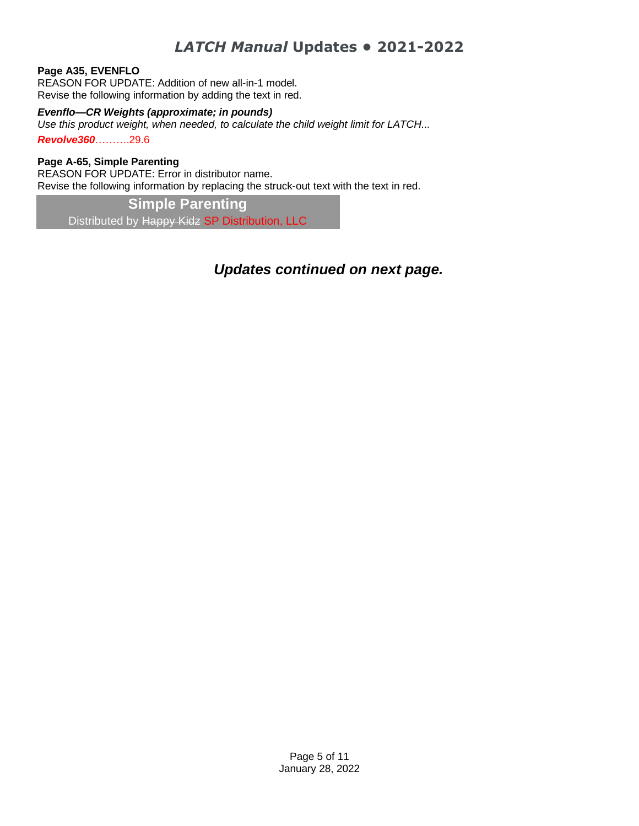#### **Page A35, EVENFLO**

REASON FOR UPDATE: Addition of new all-in-1 model. Revise the following information by adding the text in red.

#### *Evenflo—CR Weights (approximate; in pounds)*

*Use this product weight, when needed, to calculate the child weight limit for LATCH... Revolve360*……….29.6

#### **Page A-65, Simple Parenting**

REASON FOR UPDATE: Error in distributor name. Revise the following information by replacing the struck-out text with the text in red.

**Simple Parenting** Distributed by Happy Kidz SP Distribution, LLC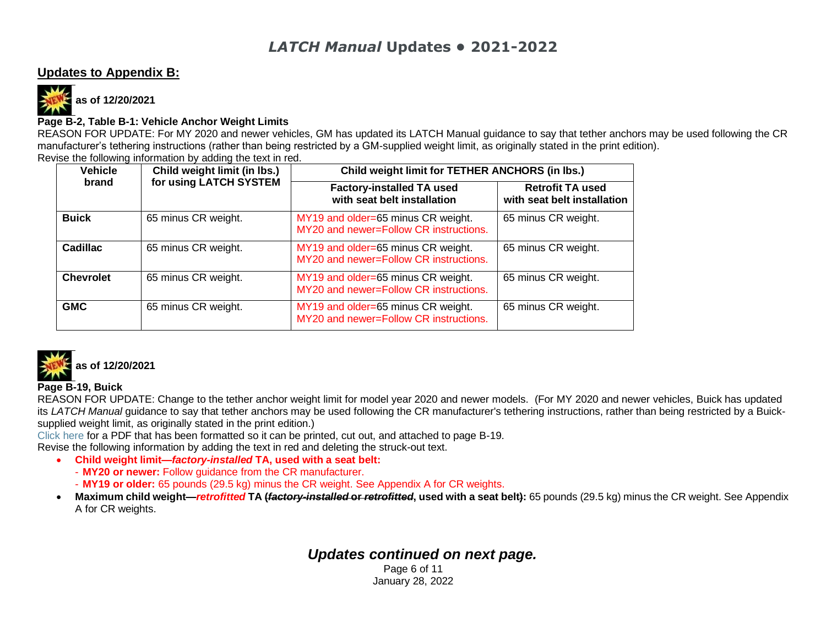#### **Updates to Appendix B:**



**as of 12/20/2021**

#### **Page B-2, Table B-1: Vehicle Anchor Weight Limits**

REASON FOR UPDATE: For MY 2020 and newer vehicles, GM has updated its LATCH Manual guidance to say that tether anchors may be used following the CR manufacturer's tethering instructions (rather than being restricted by a GM-supplied weight limit, as originally stated in the print edition). Revise the following information by adding the text in red.

<span id="page-5-0"></span>

| <b>Vehicle</b>   | Child weight limit (in lbs.) | Child weight limit for TETHER ANCHORS (in lbs.)                              |                                                        |  |  |  |
|------------------|------------------------------|------------------------------------------------------------------------------|--------------------------------------------------------|--|--|--|
| brand            | for using LATCH SYSTEM       | <b>Factory-installed TA used</b><br>with seat belt installation              | <b>Retrofit TA used</b><br>with seat belt installation |  |  |  |
| <b>Buick</b>     | 65 minus CR weight.          | MY19 and older=65 minus CR weight.<br>MY20 and newer=Follow CR instructions. | 65 minus CR weight.                                    |  |  |  |
| Cadillac         | 65 minus CR weight.          | MY19 and older=65 minus CR weight.<br>MY20 and newer=Follow CR instructions. | 65 minus CR weight.                                    |  |  |  |
| <b>Chevrolet</b> | 65 minus CR weight.          | MY19 and older=65 minus CR weight.<br>MY20 and newer=Follow CR instructions. | 65 minus CR weight.                                    |  |  |  |
| <b>GMC</b>       | 65 minus CR weight.          | MY19 and older=65 minus CR weight.<br>MY20 and newer=Follow CR instructions. | 65 minus CR weight.                                    |  |  |  |



#### **Page B-19, Buick**

REASON FOR UPDATE: Change to the tether anchor weight limit for model year 2020 and newer models. (For MY 2020 and newer vehicles, Buick has updated its *LATCH Manual* guidance to say that tether anchors may be used following the CR manufacturer's tethering instructions, rather than being restricted by a Buicksupplied weight limit, as originally stated in the print edition.)

[Click here](https://www.saferidenews.com/wp-content/uploads/2022/01/PDF-Option-GM-Weight-Limits.pdf) for a PDF that has been formatted so it can be printed, cut out, and attached to page B-19.

Revise the following information by adding the text in red and deleting the struck-out text.

- **Child weight limit—***factory-installed* **TA, used with a seat belt:**
	- **MY20 or newer:** Follow guidance from the CR manufacturer.
	- **MY19 or older:** 65 pounds (29.5 kg) minus the CR weight. See Appendix A for CR weights.
- **Maximum child weight—***retrofitted* **TA (***factory-installed* **or** *retrofitted***, used with a seat belt):** 65 pounds (29.5 kg) minus the CR weight. See Appendix A for CR weights.

## *Updates continued on next page.*

Page 6 of 11 January 28, 2022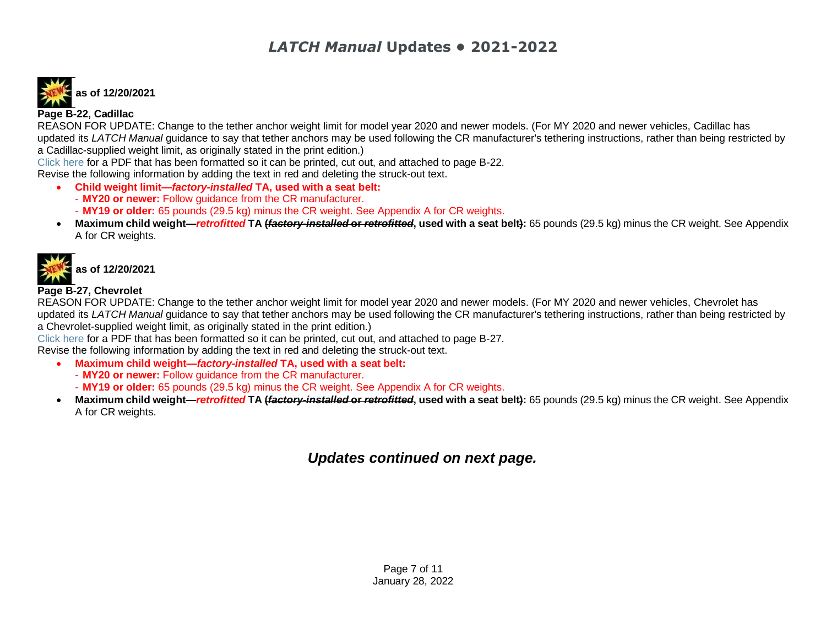# **as of 12/20/2021**

#### **Page B-22, Cadillac**

REASON FOR UPDATE: Change to the tether anchor weight limit for model year 2020 and newer models. (For MY 2020 and newer vehicles, Cadillac has updated its *LATCH Manual* guidance to say that tether anchors may be used following the CR manufacturer's tethering instructions, rather than being restricted by a Cadillac-supplied weight limit, as originally stated in the print edition.)

[Click here](https://www.saferidenews.com/wp-content/uploads/2022/01/PDF-Option-GM-Weight-Limits.pdf) for a PDF that has been formatted so it can be printed, cut out, and attached to page B-22.

Revise the following information by adding the text in red and deleting the struck-out text.

- **Child weight limit—***factory-installed* **TA, used with a seat belt:**
	- **MY20 or newer:** Follow guidance from the CR manufacturer.
	- **MY19 or older:** 65 pounds (29.5 kg) minus the CR weight. See Appendix A for CR weights.
- **Maximum child weight—***retrofitted* **TA (***factory-installed* **or** *retrofitted***, used with a seat belt):** 65 pounds (29.5 kg) minus the CR weight. See Appendix A for CR weights.



#### **Page B-27, Chevrolet**

REASON FOR UPDATE: Change to the tether anchor weight limit for model year 2020 and newer models. (For MY 2020 and newer vehicles, Chevrolet has updated its *LATCH Manual* guidance to say that tether anchors may be used following the CR manufacturer's tethering instructions, rather than being restricted by a Chevrolet-supplied weight limit, as originally stated in the print edition.)

[Click here](https://www.saferidenews.com/wp-content/uploads/2022/01/PDF-Option-GM-Weight-Limits.pdf) for a PDF that has been formatted so it can be printed, cut out, and attached to page B-27.

Revise the following information by adding the text in red and deleting the struck-out text.

- **Maximum child weight—***factory-installed* **TA, used with a seat belt:**
	- **MY20 or newer:** Follow guidance from the CR manufacturer.
	- **MY19 or older:** 65 pounds (29.5 kg) minus the CR weight. See Appendix A for CR weights.
- **Maximum child weight—***retrofitted* **TA (***factory-installed* **or** *retrofitted***, used with a seat belt):** 65 pounds (29.5 kg) minus the CR weight. See Appendix A for CR weights.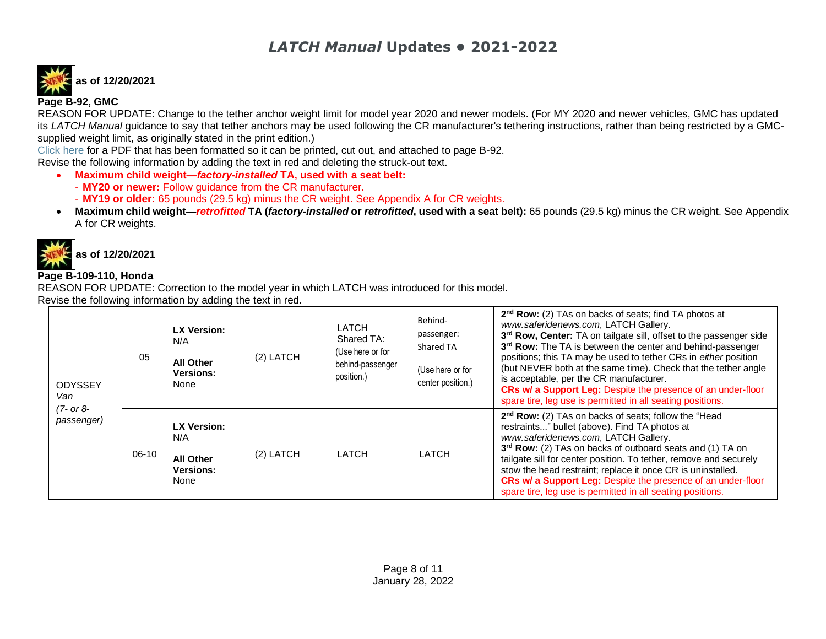# **as of 12/20/2021 Page B-92, GMC**

REASON FOR UPDATE: Change to the tether anchor weight limit for model year 2020 and newer models. (For MY 2020 and newer vehicles, GMC has updated its *LATCH Manual* quidance to say that tether anchors may be used following the CR manufacturer's tethering instructions, rather than being restricted by a GMCsupplied weight limit, as originally stated in the print edition.)

[Click here](https://www.saferidenews.com/wp-content/uploads/2022/01/PDF-Option-GM-Weight-Limits.pdf) for a PDF that has been formatted so it can be printed, cut out, and attached to page B-92.

Revise the following information by adding the text in red and deleting the struck-out text.

- **Maximum child weight—***factory-installed* **TA, used with a seat belt:**
	- **MY20 or newer:** Follow guidance from the CR manufacturer.
	- **MY19 or older:** 65 pounds (29.5 kg) minus the CR weight. See Appendix A for CR weights.
- **Maximum child weight—***retrofitted* **TA (***factory-installed* **or** *retrofitted***, used with a seat belt):** 65 pounds (29.5 kg) minus the CR weight. See Appendix A for CR weights.



#### **Page B-109-110, Honda**

REASON FOR UPDATE: Correction to the model year in which LATCH was introduced for this model.

Revise the following information by adding the text in red.

| <b>ODYSSEY</b><br>Van       | 05    | <b>LX Version:</b><br>N/A<br>All Other<br><b>Versions:</b><br>None | $(2)$ LATCH | <b>LATCH</b><br>Shared TA:<br>(Use here or for<br>behind-passenger<br>position.) | Behind-<br>passenger:<br>Shared TA<br>(Use here or for<br>center position.) | 2 <sup>nd</sup> Row: (2) TAs on backs of seats; find TA photos at<br>www.saferidenews.com. LATCH Gallery.<br>3rd Row, Center: TA on tailgate sill, offset to the passenger side<br>3 <sup>rd</sup> Row: The TA is between the center and behind-passenger<br>positions; this TA may be used to tether CRs in either position<br>(but NEVER both at the same time). Check that the tether angle<br>is acceptable, per the CR manufacturer.<br>CRs w/ a Support Leg: Despite the presence of an under-floor<br>spare tire, leg use is permitted in all seating positions. |
|-----------------------------|-------|--------------------------------------------------------------------|-------------|----------------------------------------------------------------------------------|-----------------------------------------------------------------------------|-------------------------------------------------------------------------------------------------------------------------------------------------------------------------------------------------------------------------------------------------------------------------------------------------------------------------------------------------------------------------------------------------------------------------------------------------------------------------------------------------------------------------------------------------------------------------|
| $(7 - or 8 -$<br>passenger) | 06-10 | LX Version:<br>N/A<br><b>All Other</b><br><b>Versions:</b><br>None | $(2)$ LATCH | LATCH                                                                            | LATCH                                                                       | 2 <sup>nd</sup> Row: (2) TAs on backs of seats; follow the "Head<br>restraints" bullet (above). Find TA photos at<br>www.saferidenews.com, LATCH Gallery.<br>3rd Row: (2) TAs on backs of outboard seats and (1) TA on<br>tailgate sill for center position. To tether, remove and securely<br>stow the head restraint; replace it once CR is uninstalled.<br><b>CRs w/ a Support Leg:</b> Despite the presence of an under-floor<br>spare tire, leg use is permitted in all seating positions.                                                                         |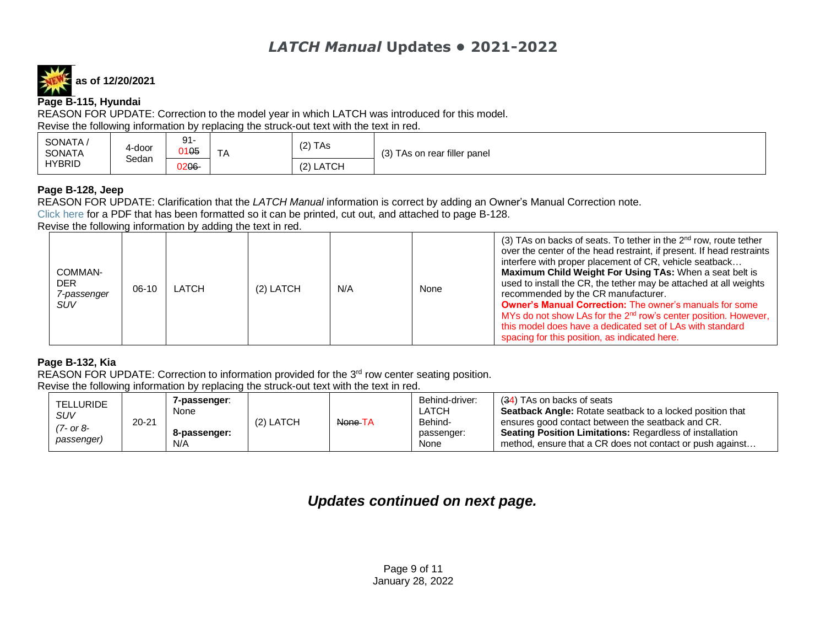**as of 12/20/2021**

**Page B-115, Hyundai**

REASON FOR UPDATE: Correction to the model year in which LATCH was introduced for this model. Revise the following information by replacing the struck-out text with the text in red.

| SONATA,<br>SONATA | 4-door<br>Sedan | Q <sub>1</sub><br>ັັ<br>0105 | $\overline{\phantom{a}}$<br>$\Lambda$<br>. | $(2)$ TAs | (3) TAs on rear filler panel |
|-------------------|-----------------|------------------------------|--------------------------------------------|-----------|------------------------------|
| <b>HYBRID</b>     |                 | )206-                        |                                            | (2) LATCH |                              |

#### **Page B-128, Jeep**

REASON FOR UPDATE: Clarification that the *LATCH Manual* information is correct by adding an Owner's Manual Correction note.

[Click here](https://www.saferidenews.com/wp-content/uploads/2021/05/PDF-Option-Jeep-Commander.pdf) for a PDF that has been formatted so it can be printed, cut out, and attached to page B-128.

Revise the following information by adding the text in red.

| COMMAN-<br><b>DER</b><br>7-passenger<br><b>SUV</b> | 06-10 | LATCH | (2) LATCH | N/A | None | (3) TAs on backs of seats. To tether in the $2^{nd}$ row, route tether<br>over the center of the head restraint, if present. If head restraints<br>interfere with proper placement of CR, vehicle seatback<br>Maximum Child Weight For Using TAs: When a seat belt is<br>used to install the CR, the tether may be attached at all weights<br>recommended by the CR manufacturer.<br><b>Owner's Manual Correction:</b> The owner's manuals for some<br>MYs do not show LAs for the 2 <sup>nd</sup> row's center position. However,<br>this model does have a dedicated set of LAs with standard<br>spacing for this position, as indicated here. |
|----------------------------------------------------|-------|-------|-----------|-----|------|--------------------------------------------------------------------------------------------------------------------------------------------------------------------------------------------------------------------------------------------------------------------------------------------------------------------------------------------------------------------------------------------------------------------------------------------------------------------------------------------------------------------------------------------------------------------------------------------------------------------------------------------------|

#### **Page B-132, Kia**

REASON FOR UPDATE: Correction to information provided for the 3<sup>rd</sup> row center seating position.

Revise the following information by replacing the struck-out text with the text in red.

| TELLURIDE<br>SUV        |           | 7-passenger:<br>None |           |         | Behind-driver:<br>LATCH       | (34) TAs on backs of seats<br><b>Seatback Angle:</b> Rotate seatback to a locked position that                                                                                    |
|-------------------------|-----------|----------------------|-----------|---------|-------------------------------|-----------------------------------------------------------------------------------------------------------------------------------------------------------------------------------|
| '7- or 8-<br>passenger) | $20 - 21$ | 8-passenger:<br>N/A  | (2) LATCH | None TA | Behind-<br>passenger:<br>None | ensures good contact between the seatback and CR.<br><b>Seating Position Limitations: Regardless of installation</b><br>method, ensure that a CR does not contact or push against |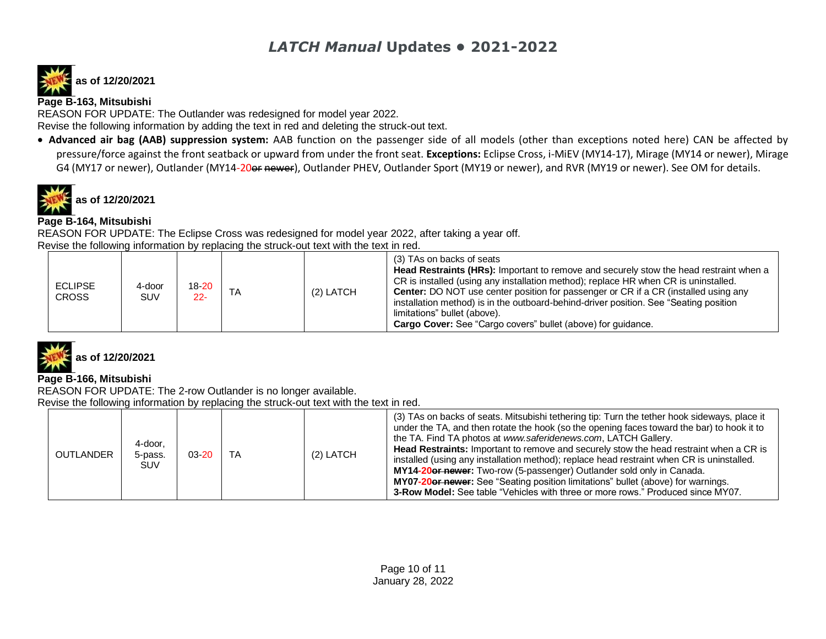# **as of 12/20/2021**

#### **Page B-163, Mitsubishi**

REASON FOR UPDATE: The Outlander was redesigned for model year 2022.

Revise the following information by adding the text in red and deleting the struck-out text.

• **Advanced air bag (AAB) suppression system:** AAB function on the passenger side of all models (other than exceptions noted here) CAN be affected by pressure/force against the front seatback or upward from under the front seat. **Exceptions:** Eclipse Cross, i-MiEV (MY14-17), Mirage (MY14 or newer), Mirage G4 (MY17 or newer), Outlander (MY14-20or newer), Outlander PHEV, Outlander Sport (MY19 or newer), and RVR (MY19 or newer). See OM for details.

**as of 12/20/2021**

#### **Page B-164, Mitsubishi**

REASON FOR UPDATE: The Eclipse Cross was redesigned for model year 2022, after taking a year off. Revise the following information by replacing the struck-out text with the text in red.

| <b>ECLIPSE</b><br><b>CROSS</b> | 4-door<br><b>SUV</b> | $18 - 20$<br>$22 -$ | TA | $(2)$ LATCH | (3) TAs on backs of seats<br>Head Restraints (HRs): Important to remove and securely stow the head restraint when a<br>CR is installed (using any installation method); replace HR when CR is uninstalled.<br><b>Center:</b> DO NOT use center position for passenger or CR if a CR (installed using any<br>installation method) is in the outboard-behind-driver position. See "Seating position<br>limitations" bullet (above).<br>Cargo Cover: See "Cargo covers" bullet (above) for quidance. |
|--------------------------------|----------------------|---------------------|----|-------------|---------------------------------------------------------------------------------------------------------------------------------------------------------------------------------------------------------------------------------------------------------------------------------------------------------------------------------------------------------------------------------------------------------------------------------------------------------------------------------------------------|
|--------------------------------|----------------------|---------------------|----|-------------|---------------------------------------------------------------------------------------------------------------------------------------------------------------------------------------------------------------------------------------------------------------------------------------------------------------------------------------------------------------------------------------------------------------------------------------------------------------------------------------------------|



#### **Page B-166, Mitsubishi**

REASON FOR UPDATE: The 2-row Outlander is no longer available. Revise the following information by replacing the struck-out text with the text in red.

| OUTLANDER | 4-door.<br>5-pass.<br><b>SUV</b> | $03 - 20$ | TA | (2) LATCH | (3) TAs on backs of seats. Mitsubishi tethering tip: Turn the tether hook sideways, place it<br>under the TA, and then rotate the hook (so the opening faces toward the bar) to hook it to<br>the TA. Find TA photos at www.saferidenews.com, LATCH Gallery.<br><b>Head Restraints:</b> Important to remove and securely stow the head restraint when a CR is<br>installed (using any installation method); replace head restraint when CR is uninstalled.<br><b>MY14-20er newer:</b> Two-row (5-passenger) Outlander sold only in Canada. |
|-----------|----------------------------------|-----------|----|-----------|--------------------------------------------------------------------------------------------------------------------------------------------------------------------------------------------------------------------------------------------------------------------------------------------------------------------------------------------------------------------------------------------------------------------------------------------------------------------------------------------------------------------------------------------|
|           |                                  |           |    |           | MY07-20or newer: See "Seating position limitations" bullet (above) for warnings.<br><b>3-Row Model:</b> See table "Vehicles with three or more rows." Produced since MY07.                                                                                                                                                                                                                                                                                                                                                                 |